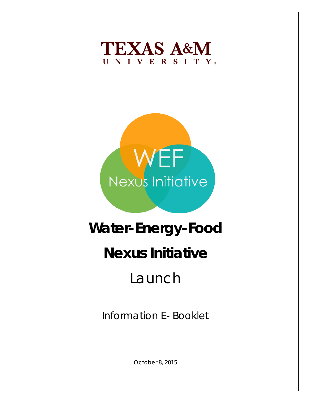



# **Water-Energy-Food Nexus Initiative** Launch

Information E- Booklet

October 8, 2015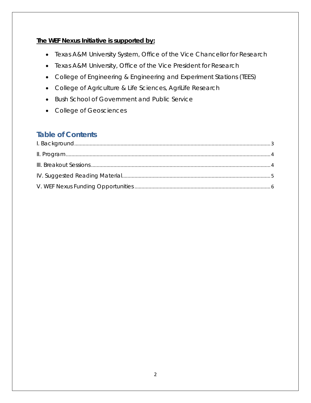# **The WEF Nexus Initiative is supported by:**

- Texas A&M University System, Office of the Vice Chancellor for Research
- Texas A&M University, Office of the Vice President for Research
- College of Engineering & Engineering and Experiment Stations (TEES)
- College of Agriculture & Life Sciences, AgriLife Research
- Bush School of Government and Public Service
- College of Geosciences

# **Table of Contents**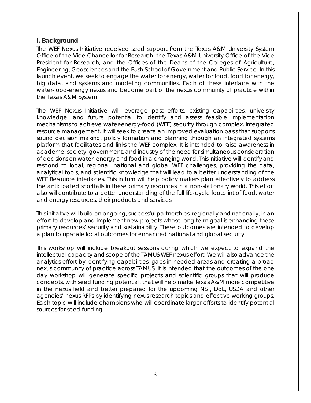# <span id="page-2-0"></span>**I. Background**

The WEF Nexus Initiative received seed support from the Texas A&M University System Office of the Vice Chancellor for Research, the Texas A&M University Office of the Vice President for Research, and the Offices of the Deans of the Colleges of Agriculture, Engineering, Geosciences and the Bush School of Government and Public Service. In this launch event, we seek to engage the water for energy, water for food, food for energy, big data, and systems and modeling communities. Each of these interface with the water-food-energy nexus and become part of the nexus community of practice within the Texas A&M System.

The WEF Nexus Initiative will leverage past efforts, existing capabilities, university knowledge, and future potential to identify and assess feasible implementation mechanisms to achieve water-energy-food (WEF) security through complex, integrated resource management. It will seek to create an improved evaluation basis that supports sound decision making, policy formation and planning through an integrated systems platform that facilitates and links the WEF complex. It is intended to raise awareness in academe, society, government, and industry of the need for simultaneous consideration of decisions on water, energy and food in a changing world. This initiative will identify and respond to local, regional, national and global WEF challenges, providing the data, analytical tools, and scientific knowledge that will lead to a better understanding of the WEF Resource interfaces. This in turn will help policy makers plan effectively to address the anticipated shortfalls in these primary resources in a non-stationary world. This effort also will contribute to a better understanding of the full life‐cycle footprint of food, water and energy resources, their products and services.

This initiative will build on ongoing, successful partnerships, regionally and nationally, in an effort to develop and implement new projects whose long term goal is enhancing these primary resources' security and sustainability. These outcomes are intended to develop a plan to upscale local outcomes for enhanced national and global security.

This workshop will include breakout sessions during which we expect to expand the intellectual capacity and scope of the TAMUS WEF nexus effort. We will also advance the analytics effort by identifying capabilities, gaps in needed areas and creating a broad nexus community of practice across TAMUS. It is intended that the outcomes of the one day workshop will generate specific projects and scientific groups that will produce concepts, with seed funding potential, that will help make Texas A&M more competitive in the nexus field and better prepared for the upcoming NSF, DoE, USDA and other agencies' nexus RFPs by identifying nexus research topics and effective working groups. Each topic will include champions who will coordinate larger efforts to identify potential sources for seed funding.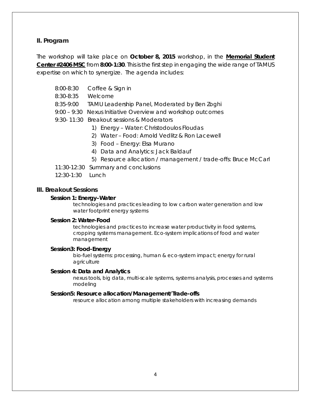# <span id="page-3-0"></span>**II. Program**

The workshop will take place on **October 8, 2015** workshop, *in the* **Memorial Student Center #2406 MSC** from **8:00-1:30**. This is the first step in engaging the wide range of TAMUS expertise on which to synergize. The agenda includes:

- 8:00-8:30 Coffee & Sign in
- 8:30-8:35 Welcome
- 8:35-9:00 TAMU Leadership Panel, Moderated by Ben Zoghi
- 9:00 9:30 Nexus Initiative Overview and workshop outcomes
- 9:30- 11:30 Breakout sessions & Moderators
	- 1) Energy Water: Christodoulos Floudas
	- 2) Water Food: Arnold Vedlitz & Ron Lacewell
	- 3) Food Energy: Elsa Murano
	- 4) Data and Analytics: Jack Baldauf
	- 5) Resource allocation / management / trade-offs: Bruce McCarl
- 11:30-12:30 Summary and conclusions
- 12:30-1:30 Lunch

#### <span id="page-3-1"></span>**III. Breakout Sessions**

#### **Session 1: Energy–Water**

technologies and practices leading to low carbon water generation and low water footprint energy systems

#### **Session 2: Water–Food**

technologies and practices to increase water productivity in food systems, cropping systems management. Eco-system implications of food and water management

#### **Session3: Food-Energy**

bio-fuel systems: processing, human & eco-system impact; energy for rural agriculture

#### **Session 4: Data and Analytics**

nexus tools, big data, multi-scale systems, systems analysis, processes and systems modeling

#### **Session5: Resource allocation/Management/Trade-offs**

resource allocation among multiple stakeholders with increasing demands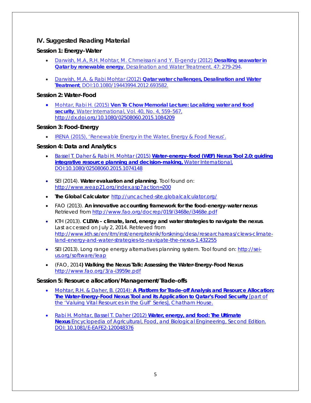# <span id="page-4-0"></span>**IV. Suggested Reading Material**

## **Session 1: Energy–Water**

- [Darwish, M.A, R.H. Mohtar, M. Chmeissani and Y. El-gendy \(2012\)](http://dx.doi.org/10.1080/19443994.2012.696409) **Desalting seawater in Qatar by renewable energy**, *[Desalination and Water Treatment](http://dx.doi.org/10.1080/19443994.2012.696409)*. 47: 279-294.
- Darwish, M.A. & Rabi Mohtar (2012) **[Qatar water challenges, Desalination and Water](http://wefnexus.tamu.edu/files/2015/01/Qatar_water_challenge_Journal_paper.pdf)  Treatment**[, DOI:10.1080/19443994.2012.693582.](http://wefnexus.tamu.edu/files/2015/01/Qatar_water_challenge_Journal_paper.pdf)

## **Session 2: Water–Food**

• Mohtar, Rabi H. (2015) **[Ven Te Chow Memorial Lecture: Localizing water and food](http://wefnexus.tamu.edu/files/2015/01/Ven-Te-Chow-Memorial-Lecture-WI-2015.pdf)  security**, *Water International*[, Vol. 40, No. 4, 559–567,](http://wefnexus.tamu.edu/files/2015/01/Ven-Te-Chow-Memorial-Lecture-WI-2015.pdf) http://dx.doi.org/10.1080/02508060.2015.1084209

# **Session 3: Food-Energy**

• [IRENA \(2015\), 'Renewable Energy in the Water, Energy & Food Nexus'.](http://www.irena.org/DocumentDownloads/Publications/IRENA_Water_Energy_Food_Nexus_2015.pdf)

# **Session 4: Data and Analytics**

- [Bassel T. Daher & Rabi H. Mohtar \(2015\)](http://wefnexus.tamu.edu/files/2015/09/Daher-Mohtar_WEFNexusTool2.pdf) **Water–energy–food (WEF) Nexus Tool 2.0: guiding integrative resource planning and [decision-making,](http://wefnexus.tamu.edu/files/2015/09/Daher-Mohtar_WEFNexusTool2.pdf)** Water International, [DOI:10.1080/02508060.2015.1074148](http://wefnexus.tamu.edu/files/2015/09/Daher-Mohtar_WEFNexusTool2.pdf)
- SEI (2014). **Water evaluation and planning**. Tool found on: <http://www.weap21.org/index.asp?action=200>
- **The Global Calculator** <http://uncached-site.globalcalculator.org/>
- FAO (2013). **An innovative accounting framework for the food-energy-water nexus** Retrieved from<http://www.fao.org/docrep/019/i3468e/i3468e.pdf>
- KTH (2013). **CLEWs – climate, land, energy and water strategies to navigate the nexus**. Last accessed on July 2, 2014. Retrieved from [http://www.kth.se/en/itm/inst/energiteknik/forskning/desa/researchareas/clews-climate](http://www.kth.se/en/itm/inst/energiteknik/forskning/desa/researchareas/clews-climate-land-energy-and-water-strategies-to-navigate-the-nexus-1.432255)[land-energy-and-water-strategies-to-navigate-the-nexus-1.432255](http://www.kth.se/en/itm/inst/energiteknik/forskning/desa/researchareas/clews-climate-land-energy-and-water-strategies-to-navigate-the-nexus-1.432255)
- SEI (2013). Long range energy alternatives planning system. Tool found on: [http://sei](http://sei-us.org/software/leap)[us.org/software/leap](http://sei-us.org/software/leap)
- (FAO, 2014**) Walking the Nexus Talk: Assessing the Water-Energy-Food Nexus** <http://www.fao.org/3/a-i3959e.pdf>

### **Session 5: Resource allocation/Management/Trade-offs**

- Mohtar, R.H. & Daher, B. (2014): **[A Platform for Trade-off Analysis and Resource Allocation:](http://wefnexus.tamu.edu/files/2015/01/20141216WaterEnergyFoodNexusQatarMohtarDaher.pdf)  [The Water-Energy-Food Nexus Tool and its Application to Qatar's Food Security](http://wefnexus.tamu.edu/files/2015/01/20141216WaterEnergyFoodNexusQatarMohtarDaher.pdf)** [part of [the 'Valuing Vital Resources in the Gulf' Series\], Chatham House.](http://wefnexus.tamu.edu/files/2015/01/20141216WaterEnergyFoodNexusQatarMohtarDaher.pdf)
- Rabi H. Mohtar, Bassel T. Daher (2012) **[Water, energy, and food: The Ultimate](http://wefnexus.tamu.edu/files/2015/01/Mohtar-Daher_Water-Energy-and-Food-The-Ultimate-Nexus.pdf)  Nexus** [Encyclopedia of Agricultural, Food, and Biological Engineering, Second Edition.](http://wefnexus.tamu.edu/files/2015/01/Mohtar-Daher_Water-Energy-and-Food-The-Ultimate-Nexus.pdf)  [DOI: 10.1081/E-EAFE2-120048376](http://wefnexus.tamu.edu/files/2015/01/Mohtar-Daher_Water-Energy-and-Food-The-Ultimate-Nexus.pdf)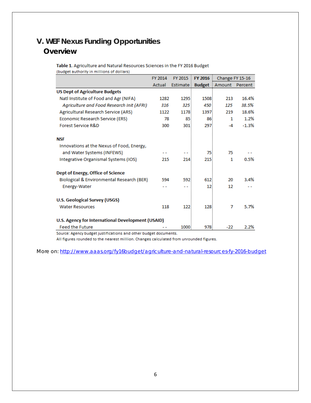# <span id="page-5-0"></span>**V. WEF Nexus Funding Opportunities Overview**

Table 1. Agriculture and Natural Resources Sciences in the FY 2016 Budget (budget authority in millions of dollars)

|                                                   | FY 2014 | FY 2015   | <b>FY 2016</b>  | Change FY 15-16      |         |
|---------------------------------------------------|---------|-----------|-----------------|----------------------|---------|
|                                                   | Actual  | Estimate: |                 | <b>Budget</b> Amount | Percent |
| <b>US Dept of Agriculture Budgets</b>             |         |           |                 |                      |         |
| Natl Institute of Food and Agr (NIFA)             | 1282    | 1295      | 1508            | 213                  | 16.4%   |
| Agriculture and Food Research Init (AFRI)         | 316     | 325       | 450             | 125                  | 38.5%   |
| Agricultural Research Service (ARS)               | 1122    | 1178      | 1397            | 219                  | 18.6%   |
| Economic Research Service (ERS)                   | 78      | 85        | 86              | 1                    | 1.2%    |
| Forest Service R&D                                | 300     | 301       | 297             | $-4$                 | $-1.3%$ |
| <b>NSF</b>                                        |         |           |                 |                      |         |
| Innovations at the Nexus of Food, Energy,         |         |           |                 |                      |         |
| and Water Systems (INFEWS)                        |         |           | 75              | 75                   |         |
| Integrative Organismal Systems (IOS)              | 215     | 214       | 215             | 1                    | 0.5%    |
| Dept of Energy, Office of Science                 |         |           |                 |                      |         |
| Biological & Environmental Research (BER)         | 594     | 592       | 612             | 20                   | 3.4%    |
| Energy-Water                                      | - -     | - -       | 12 <sup>1</sup> | 12                   |         |
| <b>U.S. Geological Survey (USGS)</b>              |         |           |                 |                      |         |
| <b>Water Resources</b>                            | 118     | 122       | 128             | 7                    | 5.7%    |
| U.S. Agency for International Development (USAID) |         |           |                 |                      |         |
| <b>Feed the Future</b>                            |         | 1000      | 978             | -22                  | 2.2%    |

Source: Agency budget justifications and other budget documents.

All figures rounded to the nearest million. Changes calculated from unrounded figures.

More on:<http://www.aaas.org/fy16budget/agriculture-and-natural-resources-fy-2016-budget>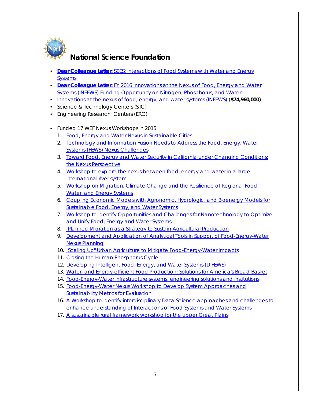

# **National Science Foundation**

- **[Dear Colleague Letter:](http://www.nsf.gov/pubs/2015/nsf15040/nsf15040.jsp)** [SEES: Interactions of Food Systems with Water and Energy](http://www.nsf.gov/pubs/2015/nsf15040/nsf15040.jsp)  **[Systems](http://www.nsf.gov/pubs/2015/nsf15040/nsf15040.jsp)**
- **[Dear Colleague Letter:](http://www.nsf.gov/pubs/2015/nsf15108/nsf15108.jsp)** [FY 2016 Innovations at the Nexus of Food, Energy and Water](http://www.nsf.gov/pubs/2015/nsf15108/nsf15108.jsp)  [Systems \(INFEWS\) Funding Opportunity on Nitrogen, Phosphorus, and Water](http://www.nsf.gov/pubs/2015/nsf15108/nsf15108.jsp)
- [Innovations at the nexus of food, energy, and water systems \(INFEWS\)](http://www.nsf.gov/about/budget/fy2016/pdf/37_fy2016.pdf) (**\$74,960,000)**
- Science & Technology Centers (STC)
- Engineering Research Centers (ERC)
- Funded 17 WEF Nexus Workshops in 2015
	- 1. [Food, Energy and Water Nexus in Sustainable Cities](https://owa.agnet.tamu.edu/owa/redir.aspx?C=uI5ZGVTW60CgrNdauJAx1ijG_6PIvtIILR_pCVZWUDmrYgoZTBW7E96oknqNw02HvJpKOIhdsLo.&URL=http://www.nsf.gov/awardsearch/showAward?AWD_ID%3d1541866%26HistoricalAwards%3dfalse)
	- 2. **Technology and Information Fusion Needs to Address the Food, Energy, Water** [Systems \(FEWS\) Nexus Challenges](https://owa.agnet.tamu.edu/owa/redir.aspx?C=uI5ZGVTW60CgrNdauJAx1ijG_6PIvtIILR_pCVZWUDmrYgoZTBW7E96oknqNw02HvJpKOIhdsLo.&URL=http://www.nsf.gov/awardsearch/showAward?AWD_ID%3d1541863%26HistoricalAwards%3dfalse)
	- 3. [Toward Food, Energy and Water Security in California under Changing Conditions:](https://owa.agnet.tamu.edu/owa/redir.aspx?C=uI5ZGVTW60CgrNdauJAx1ijG_6PIvtIILR_pCVZWUDmrYgoZTBW7E96oknqNw02HvJpKOIhdsLo.&URL=http://www.nsf.gov/awardsearch/showAward?AWD_ID%3d1541890%26HistoricalAwards%3dfalse)  [the Nexus Perspective](https://owa.agnet.tamu.edu/owa/redir.aspx?C=uI5ZGVTW60CgrNdauJAx1ijG_6PIvtIILR_pCVZWUDmrYgoZTBW7E96oknqNw02HvJpKOIhdsLo.&URL=http://www.nsf.gov/awardsearch/showAward?AWD_ID%3d1541890%26HistoricalAwards%3dfalse)
	- 4. [Workshop to explore the nexus between food, energy and water in a large](https://owa.agnet.tamu.edu/owa/redir.aspx?C=uI5ZGVTW60CgrNdauJAx1ijG_6PIvtIILR_pCVZWUDmrYgoZTBW7E96oknqNw02HvJpKOIhdsLo.&URL=http://www.nsf.gov/awardsearch/showAward?AWD_ID%3d1541694%26HistoricalAwards%3dfalse)  [international river system](https://owa.agnet.tamu.edu/owa/redir.aspx?C=uI5ZGVTW60CgrNdauJAx1ijG_6PIvtIILR_pCVZWUDmrYgoZTBW7E96oknqNw02HvJpKOIhdsLo.&URL=http://www.nsf.gov/awardsearch/showAward?AWD_ID%3d1541694%26HistoricalAwards%3dfalse)
	- 5. [Workshop on Migration, Climate Change and the Resilience of Regional Food,](https://owa.agnet.tamu.edu/owa/redir.aspx?C=uI5ZGVTW60CgrNdauJAx1ijG_6PIvtIILR_pCVZWUDmrYgoZTBW7E96oknqNw02HvJpKOIhdsLo.&URL=http://www.nsf.gov/awardsearch/showAward?AWD_ID%3d1541844%26HistoricalAwards%3dfalse)  [Water, and Energy Systems](https://owa.agnet.tamu.edu/owa/redir.aspx?C=uI5ZGVTW60CgrNdauJAx1ijG_6PIvtIILR_pCVZWUDmrYgoZTBW7E96oknqNw02HvJpKOIhdsLo.&URL=http://www.nsf.gov/awardsearch/showAward?AWD_ID%3d1541844%26HistoricalAwards%3dfalse)
	- 6. [Coupling Economic Models with Agronomic, Hydrologic, and Bioenergy Models for](https://owa.agnet.tamu.edu/owa/redir.aspx?C=uI5ZGVTW60CgrNdauJAx1ijG_6PIvtIILR_pCVZWUDmrYgoZTBW7E96oknqNw02HvJpKOIhdsLo.&URL=http://www.nsf.gov/awardsearch/showAward?AWD_ID%3d1541790%26HistoricalAwards%3dfalse)  [Sustainable Food, Energy, and Water Systems](https://owa.agnet.tamu.edu/owa/redir.aspx?C=uI5ZGVTW60CgrNdauJAx1ijG_6PIvtIILR_pCVZWUDmrYgoZTBW7E96oknqNw02HvJpKOIhdsLo.&URL=http://www.nsf.gov/awardsearch/showAward?AWD_ID%3d1541790%26HistoricalAwards%3dfalse)
	- 7. [Workshop to Identify Opportunities and Challenges for Nanotechnology to Optimize](https://owa.agnet.tamu.edu/owa/redir.aspx?C=uI5ZGVTW60CgrNdauJAx1ijG_6PIvtIILR_pCVZWUDmrYgoZTBW7E96oknqNw02HvJpKOIhdsLo.&URL=http://www.nsf.gov/awardsearch/showAward?AWD_ID%3d1541807%26HistoricalAwards%3dfalse)  [and Unify Food, Energy and Water Systems](https://owa.agnet.tamu.edu/owa/redir.aspx?C=uI5ZGVTW60CgrNdauJAx1ijG_6PIvtIILR_pCVZWUDmrYgoZTBW7E96oknqNw02HvJpKOIhdsLo.&URL=http://www.nsf.gov/awardsearch/showAward?AWD_ID%3d1541807%26HistoricalAwards%3dfalse)
	- 8. [Planned Migration as a Strategy to Sustain Agricultural Production](https://owa.agnet.tamu.edu/owa/redir.aspx?C=uI5ZGVTW60CgrNdauJAx1ijG_6PIvtIILR_pCVZWUDmrYgoZTBW7E96oknqNw02HvJpKOIhdsLo.&URL=http://www.nsf.gov/awardsearch/showAward?AWD_ID%3d1541799%26HistoricalAwards%3dfalse)
	- 9. [Development and Application of Analytical Tools in Support of Food-Energy-Water](https://owa.agnet.tamu.edu/owa/redir.aspx?C=uI5ZGVTW60CgrNdauJAx1ijG_6PIvtIILR_pCVZWUDmrYgoZTBW7E96oknqNw02HvJpKOIhdsLo.&URL=http://www.nsf.gov/awardsearch/showAward?AWD_ID%3d1541642%26HistoricalAwards%3dfalse)  [Nexus Planning](https://owa.agnet.tamu.edu/owa/redir.aspx?C=uI5ZGVTW60CgrNdauJAx1ijG_6PIvtIILR_pCVZWUDmrYgoZTBW7E96oknqNw02HvJpKOIhdsLo.&URL=http://www.nsf.gov/awardsearch/showAward?AWD_ID%3d1541642%26HistoricalAwards%3dfalse)
	- 10. ["Scaling Up" Urban Agriculture to Mitigate Food-Energy-Water Impacts](https://owa.agnet.tamu.edu/owa/redir.aspx?C=uI5ZGVTW60CgrNdauJAx1ijG_6PIvtIILR_pCVZWUDmrYgoZTBW7E96oknqNw02HvJpKOIhdsLo.&URL=http://www.nsf.gov/awardsearch/showAward?AWD_ID%3d1541838%26HistoricalAwards%3dfalse)
	- 11. [Closing the Human Phosphorus Cycle](https://owa.agnet.tamu.edu/owa/redir.aspx?C=uI5ZGVTW60CgrNdauJAx1ijG_6PIvtIILR_pCVZWUDmrYgoZTBW7E96oknqNw02HvJpKOIhdsLo.&URL=http://www.nsf.gov/awardsearch/showAward?AWD_ID%3d1542770%26HistoricalAwards%3dfalse)
	- 12. [Developing Intelligent Food, Energy, and Water Systems \(DIFEWS\)](https://owa.agnet.tamu.edu/owa/redir.aspx?C=uI5ZGVTW60CgrNdauJAx1ijG_6PIvtIILR_pCVZWUDmrYgoZTBW7E96oknqNw02HvJpKOIhdsLo.&URL=http://www.nsf.gov/awardsearch/showAward?AWD_ID%3d1541880%26HistoricalAwards%3dfalse)
	- 13. Water- [and Energy-efficient Food Production: Solutions for America's Bread Basket](https://owa.agnet.tamu.edu/owa/redir.aspx?C=uI5ZGVTW60CgrNdauJAx1ijG_6PIvtIILR_pCVZWUDmrYgoZTBW7E96oknqNw02HvJpKOIhdsLo.&URL=http://www.nsf.gov/awardsearch/showAward?AWD_ID%3d1541868%26HistoricalAwards%3dfalse)
	- 14. [Food-Energy-Water infrastructure systems, engineering solutions and institutions](https://owa.agnet.tamu.edu/owa/redir.aspx?C=uI5ZGVTW60CgrNdauJAx1ijG_6PIvtIILR_pCVZWUDmrYgoZTBW7E96oknqNw02HvJpKOIhdsLo.&URL=http://www.nsf.gov/awardsearch/showAward?AWD_ID%3d1541771%26HistoricalAwards%3dfalse)
	- 15. [Food-Energy-Water Nexus Workshop to Develop System Approaches and](https://owa.agnet.tamu.edu/owa/redir.aspx?C=uI5ZGVTW60CgrNdauJAx1ijG_6PIvtIILR_pCVZWUDmrYgoZTBW7E96oknqNw02HvJpKOIhdsLo.&URL=http://www.nsf.gov/awardsearch/showAward?AWD_ID%3d1541883%26HistoricalAwards%3dfalse)  [Sustainability Metrics for Evaluation](https://owa.agnet.tamu.edu/owa/redir.aspx?C=uI5ZGVTW60CgrNdauJAx1ijG_6PIvtIILR_pCVZWUDmrYgoZTBW7E96oknqNw02HvJpKOIhdsLo.&URL=http://www.nsf.gov/awardsearch/showAward?AWD_ID%3d1541883%26HistoricalAwards%3dfalse)
	- 16. [A Workshop to identify interdisciplinary Data Science approaches and challenges to](https://owa.agnet.tamu.edu/owa/redir.aspx?C=uI5ZGVTW60CgrNdauJAx1ijG_6PIvtIILR_pCVZWUDmrYgoZTBW7E96oknqNw02HvJpKOIhdsLo.&URL=http://www.nsf.gov/awardsearch/showAward?AWD_ID%3d1541876%26HistoricalAwards%3dfalse)  [enhance understanding of Interactions of Food Systems and Water Systems](https://owa.agnet.tamu.edu/owa/redir.aspx?C=uI5ZGVTW60CgrNdauJAx1ijG_6PIvtIILR_pCVZWUDmrYgoZTBW7E96oknqNw02HvJpKOIhdsLo.&URL=http://www.nsf.gov/awardsearch/showAward?AWD_ID%3d1541876%26HistoricalAwards%3dfalse)
	- 17. [A sustainable rural framework workshop for the upper Great Plains](https://owa.agnet.tamu.edu/owa/redir.aspx?C=uI5ZGVTW60CgrNdauJAx1ijG_6PIvtIILR_pCVZWUDmrYgoZTBW7E96oknqNw02HvJpKOIhdsLo.&URL=http://www.nsf.gov/awardsearch/showAward?AWD_ID%3d1541736%26HistoricalAwards%3dfalse)